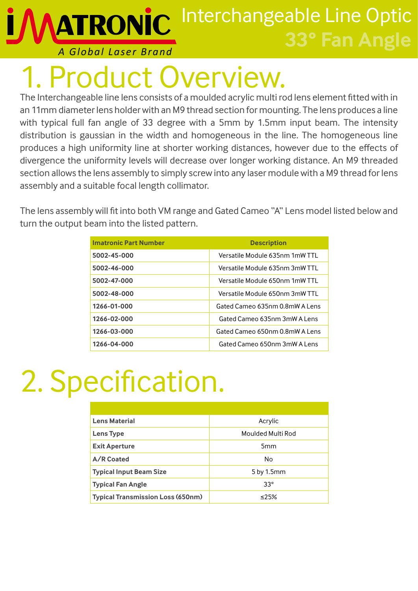Interchangeable Line Optic **ATRONIC 33° Fan Angle**

#### *A Global Laser Brand*

## roduct Overview.

The Interchangeable line lens consists of a moulded acrylic multi rod lens element fitted with in an 11mm diameter lens holder with an M9 thread section for mounting. The lens produces a line with typical full fan angle of 33 degree with a 5mm by 1.5mm input beam. The intensity distribution is gaussian in the width and homogeneous in the line. The homogeneous line produces a high uniformity line at shorter working distances, however due to the effects of divergence the uniformity levels will decrease over longer working distance. An M9 threaded section allows the lens assembly to simply screw into any laser module with a M9 thread for lens assembly and a suitable focal length collimator.

The lens assembly will fit into both VM range and Gated Cameo "A" Lens model listed below and turn the output beam into the listed pattern.

| <b>Imatronic Part Number</b> | <b>Description</b>             |
|------------------------------|--------------------------------|
| 5002-45-000                  | Versatile Module 635nm 1mW TTL |
| 5002-46-000                  | Versatile Module 635nm 3mW TTL |
| 5002-47-000                  | Versatile Module 650nm 1mW TTL |
| 5002-48-000                  | Versatile Module 650nm 3mW TTL |
| 1266-01-000                  | Gated Cameo 635nm 0.8mW A Lens |
| 1266-02-000                  | Gated Cameo 635nm 3mW A Lens   |
| 1266-03-000                  | Gated Cameo 650nm 0.8mW A Lens |
| 1266-04-000                  | Gated Cameo 650nm 3mW A Lens   |

# 2. Specification.

| <b>Lens Material</b>                     | Acrylic           |
|------------------------------------------|-------------------|
| <b>Lens Type</b>                         | Moulded Multi Rod |
| <b>Exit Aperture</b>                     | 5mm               |
| A/R Coated                               | No                |
| <b>Typical Input Beam Size</b>           | 5 by 1.5mm        |
| <b>Typical Fan Angle</b>                 | $33^\circ$        |
| <b>Typical Transmission Loss (650nm)</b> | 25%               |